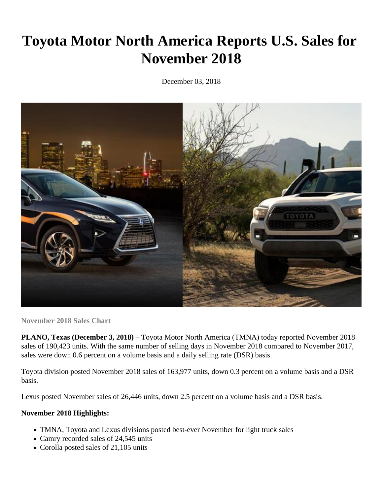## Toyota Motor North America Reports U.S. Sales for November 2018

December 03, 2018

## [November 2018 Sales Cha](https://toyota.us/2BNlytX)rt

PLANO, Texas (December 3, 2018) Toyota Motor North America (TMNA) today reported November 2018 sales of 190,423 units. With the same number of selling days in November 2018 compared to November 201 sales were down 0.6 percent on a volume basis and a daily selling rate (DSR) basis.

Toyota division posted November 2018 sales of 163,977 units, down 0.3 percent on a volume basis and a DS basis.

Lexus posted November sales of 26,446 units, down 2.5 percent on a volume basis and a DSR basis.

November 2018 Highlights:

- TMNA, Toyota and Lexus divisions posted best-ever November for light truck sales
- Camry recorded sales of 24,545 units
- Corolla posted sales of 21,105 units